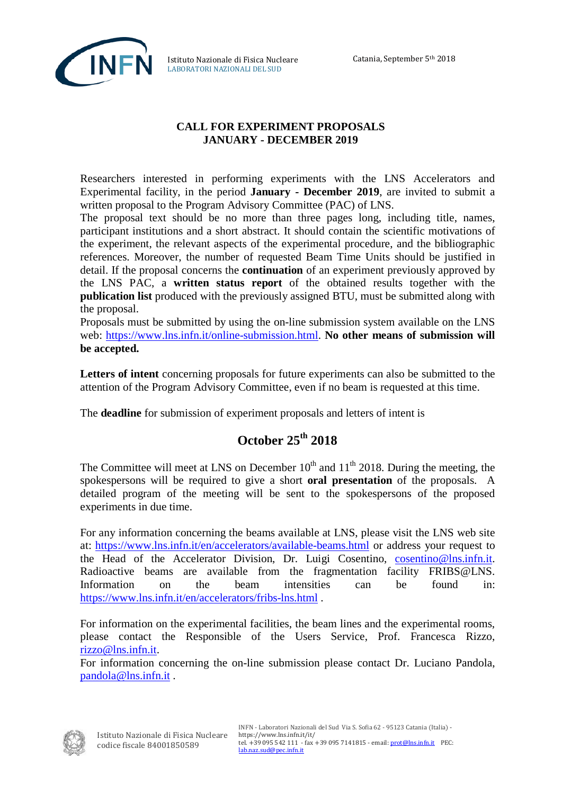

Istituto Nazionale di Fisica Nucleare LABORATORI NAZIONALI DEL SUD

## **CALL FOR EXPERIMENT PROPOSALS JANUARY - DECEMBER 2019**

Researchers interested in performing experiments with the LNS Accelerators and Experimental facility, in the period **January - December 2019**, are invited to submit a written proposal to the Program Advisory Committee (PAC) of LNS.

The proposal text should be no more than three pages long, including title, names, participant institutions and a short abstract. It should contain the scientific motivations of the experiment, the relevant aspects of the experimental procedure, and the bibliographic references. Moreover, the number of requested Beam Time Units should be justified in detail. If the proposal concerns the **continuation** of an experiment previously approved by the LNS PAC, a **written status report** of the obtained results together with the **publication list** produced with the previously assigned BTU, must be submitted along with the proposal.

Proposals must be submitted by using the on-line submission system available on the LNS web: [https://www.lns.infn.it/online-submission.html.](https://www.lns.infn.it/online-submission.html) **No other means of submission will be accepted.** 

**Letters of intent** concerning proposals for future experiments can also be submitted to the attention of the Program Advisory Committee, even if no beam is requested at this time.

The **deadline** for submission of experiment proposals and letters of intent is

## **October 25th 2018**

The Committee will meet at LNS on December  $10^{th}$  and  $11^{th}$  2018. During the meeting, the spokespersons will be required to give a short **oral presentation** of the proposals. A detailed program of the meeting will be sent to the spokespersons of the proposed experiments in due time.

For any information concerning the beams available at LNS, please visit the LNS web site at:<https://www.lns.infn.it/en/accelerators/available-beams.html> or address your request to the Head of the Accelerator Division, Dr. Luigi Cosentino, [cosentino@lns.infn.it.](mailto:cosentino@lns.infn.it) Radioactive beams are available from the fragmentation facility FRIBS@LNS. Information on the beam intensities can be found in: <https://www.lns.infn.it/en/accelerators/fribs-lns.html> .

For information on the experimental facilities, the beam lines and the experimental rooms, please contact the Responsible of the Users Service, Prof. Francesca Rizzo, [rizzo@lns.infn.it.](mailto:rizzo@lns.infn.it)

For information concerning the on-line submission please contact Dr. Luciano Pandola, [pandola@lns.infn.it](mailto:pandola@lns.infn.it) .